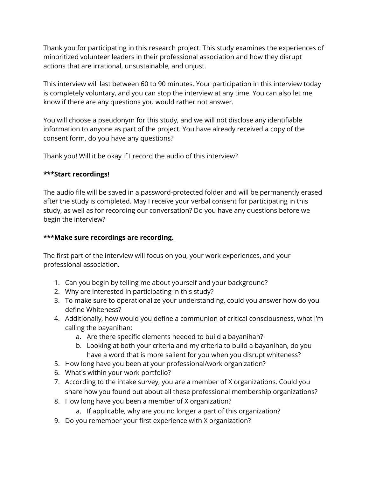Thank you for participating in this research project. This study examines the experiences of minoritized volunteer leaders in their professional association and how they disrupt actions that are irrational, unsustainable, and unjust.

This interview will last between 60 to 90 minutes. Your participation in this interview today is completely voluntary, and you can stop the interview at any time. You can also let me know if there are any questions you would rather not answer.

You will choose a pseudonym for this study, and we will not disclose any identifiable information to anyone as part of the project. You have already received a copy of the consent form, do you have any questions?

Thank you! Will it be okay if I record the audio of this interview?

## **\*\*\*Start recordings!**

The audio file will be saved in a password-protected folder and will be permanently erased after the study is completed. May I receive your verbal consent for participating in this study, as well as for recording our conversation? Do you have any questions before we begin the interview?

## **\*\*\*Make sure recordings are recording.**

The first part of the interview will focus on you, your work experiences, and your professional association.

- 1. Can you begin by telling me about yourself and your background?
- 2. Why are interested in participating in this study?
- 3. To make sure to operationalize your understanding, could you answer how do you define Whiteness?
- 4. Additionally, how would you define a communion of critical consciousness, what I'm calling the bayanihan:
	- a. Are there specific elements needed to build a bayanihan?
	- b. Looking at both your criteria and my criteria to build a bayanihan, do you have a word that is more salient for you when you disrupt whiteness?
- 5. How long have you been at your professional/work organization?
- 6. What's within your work portfolio?
- 7. According to the intake survey, you are a member of X organizations. Could you share how you found out about all these professional membership organizations?
- 8. How long have you been a member of X organization?
	- a. If applicable, why are you no longer a part of this organization?
- 9. Do you remember your first experience with X organization?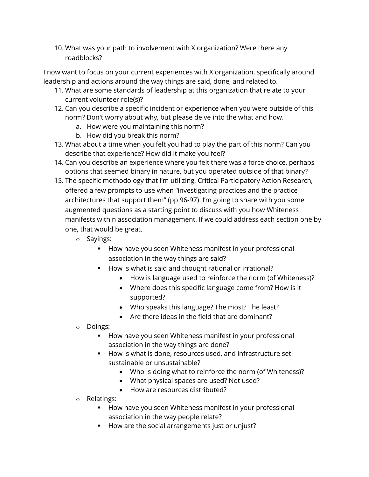10. What was your path to involvement with X organization? Were there any roadblocks?

I now want to focus on your current experiences with X organization, specifically around leadership and actions around the way things are said, done, and related to.

- 11. What are some standards of leadership at this organization that relate to your current volunteer role(s)?
- 12. Can you describe a specific incident or experience when you were outside of this norm? Don't worry about why, but please delve into the what and how.
	- a. How were you maintaining this norm?
	- b. How did you break this norm?
- 13. What about a time when you felt you had to play the part of this norm? Can you describe that experience? How did it make you feel?
- 14. Can you describe an experience where you felt there was a force choice, perhaps options that seemed binary in nature, but you operated outside of that binary?
- 15. The specific methodology that I'm utilizing, Critical Participatory Action Research, offered a few prompts to use when "investigating practices and the practice architectures that support them" (pp 96-97). I'm going to share with you some augmented questions as a starting point to discuss with you how Whiteness manifests within association management. If we could address each section one by one, that would be great.
	- o Sayings:
		- **How have you seen Whiteness manifest in your professional** association in the way things are said?
		- How is what is said and thought rational or irrational?
			- How is language used to reinforce the norm (of Whiteness)?
			- Where does this specific language come from? How is it supported?
			- Who speaks this language? The most? The least?
			- Are there ideas in the field that are dominant?
	- o Doings:
		- How have you seen Whiteness manifest in your professional association in the way things are done?
		- How is what is done, resources used, and infrastructure set sustainable or unsustainable?
			- Who is doing what to reinforce the norm (of Whiteness)?
			- What physical spaces are used? Not used?
			- How are resources distributed?
	- o Relatings:
		- **How have you seen Whiteness manifest in your professional** association in the way people relate?
		- How are the social arrangements just or unjust?